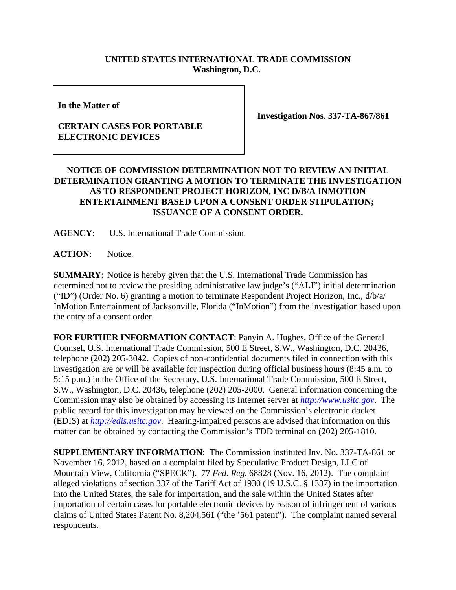## **UNITED STATES INTERNATIONAL TRADE COMMISSION Washington, D.C.**

**In the Matter of** 

## **CERTAIN CASES FOR PORTABLE ELECTRONIC DEVICES**

**Investigation Nos. 337-TA-867/861**

## **NOTICE OF COMMISSION DETERMINATION NOT TO REVIEW AN INITIAL DETERMINATION GRANTING A MOTION TO TERMINATE THE INVESTIGATION AS TO RESPONDENT PROJECT HORIZON, INC D/B/A INMOTION ENTERTAINMENT BASED UPON A CONSENT ORDER STIPULATION; ISSUANCE OF A CONSENT ORDER.**

**AGENCY**: U.S. International Trade Commission.

**ACTION**: Notice.

**SUMMARY**: Notice is hereby given that the U.S. International Trade Commission has determined not to review the presiding administrative law judge's ("ALJ") initial determination ("ID") (Order No. 6) granting a motion to terminate Respondent Project Horizon, Inc., d/b/a/ InMotion Entertainment of Jacksonville, Florida ("InMotion") from the investigation based upon the entry of a consent order.

**FOR FURTHER INFORMATION CONTACT**: Panyin A. Hughes, Office of the General Counsel, U.S. International Trade Commission, 500 E Street, S.W., Washington, D.C. 20436, telephone (202) 205-3042. Copies of non-confidential documents filed in connection with this investigation are or will be available for inspection during official business hours (8:45 a.m. to 5:15 p.m.) in the Office of the Secretary, U.S. International Trade Commission, 500 E Street, S.W., Washington, D.C. 20436, telephone (202) 205-2000. General information concerning the Commission may also be obtained by accessing its Internet server at *http://www.usitc.gov*. The public record for this investigation may be viewed on the Commission's electronic docket (EDIS) at *http://edis.usitc.gov*. Hearing-impaired persons are advised that information on this matter can be obtained by contacting the Commission's TDD terminal on (202) 205-1810.

**SUPPLEMENTARY INFORMATION**: The Commission instituted Inv. No. 337-TA-861 on November 16, 2012, based on a complaint filed by Speculative Product Design, LLC of Mountain View, California ("SPECK"). 77 *Fed. Reg.* 68828 (Nov. 16, 2012). The complaint alleged violations of section 337 of the Tariff Act of 1930 (19 U.S.C. § 1337) in the importation into the United States, the sale for importation, and the sale within the United States after importation of certain cases for portable electronic devices by reason of infringement of various claims of United States Patent No. 8,204,561 ("the '561 patent"). The complaint named several respondents.